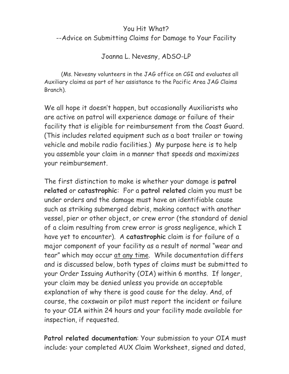## You Hit What? --Advice on Submitting Claims for Damage to Your Facility

## Joanna L. Nevesny, ADSO-LP

(Ms. Nevesny volunteers in the JAG office on CGI and evaluates all Auxiliary claims as part of her assistance to the Pacific Area JAG Claims Branch).

We all hope it doesn't happen, but occasionally Auxiliarists who are active on patrol will experience damage or failure of their facility that is eligible for reimbursement from the Coast Guard. (This includes related equipment such as a boat trailer or towing vehicle and mobile radio facilities.) My purpose here is to help you assemble your claim in a manner that speeds and maximizes your reimbursement.

The first distinction to make is whether your damage is **patrol related** or **catastrophic**: For a **patrol related** claim you must be under orders and the damage must have an identifiable cause such as striking submerged debris, making contact with another vessel, pier or other object, or crew error (the standard of denial of a claim resulting from crew error is gross negligence, which I have yet to encounter). A **catastrophic** claim is for failure of a major component of your facility as a result of normal "wear and tear" which may occur at any time. While documentation differs and is discussed below, both types of claims must be submitted to your Order Issuing Authority (OIA) within 6 months. If longer, your claim may be denied unless you provide an acceptable explanation of why there is good cause for the delay. And, of course, the coxswain or pilot must report the incident or failure to your OIA within 24 hours and your facility made available for inspection, if requested.

**Patrol related documentation**: Your submission to your OIA must include: your completed AUX Claim Worksheet, signed and dated,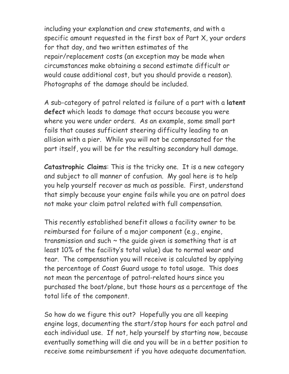including your explanation and crew statements, and with a specific amount requested in the first box of Part X, your orders for that day, and two written estimates of the repair/replacement costs (an exception may be made when circumstances make obtaining a second estimate difficult or would cause additional cost, but you should provide a reason). Photographs of the damage should be included.

A sub-category of patrol related is failure of a part with a **latent defect** which leads to damage that occurs because you were where you were under orders. As an example, some small part fails that causes sufficient steering difficulty leading to an allision with a pier. While you will not be compensated for the part itself, you will be for the resulting secondary hull damage.

**Catastrophic Claims**: This is the tricky one. It is a new category and subject to all manner of confusion. My goal here is to help you help yourself recover as much as possible. First, understand that simply because your engine fails while you are on patrol does not make your claim patrol related with full compensation.

This recently established benefit allows a facility owner to be reimbursed for failure of a major component (e.g., engine, transmission and such  $\sim$  the guide given is something that is at least 10% of the facility's total value) due to normal wear and tear. The compensation you will receive is calculated by applying the percentage of Coast Guard usage to total usage. This does not mean the percentage of patrol-related hours since you purchased the boat/plane, but those hours as a percentage of the total life of the component.

So how do we figure this out? Hopefully you are all keeping engine logs, documenting the start/stop hours for each patrol and each individual use. If not, help yourself by starting now, because eventually something will die and you will be in a better position to receive some reimbursement if you have adequate documentation.